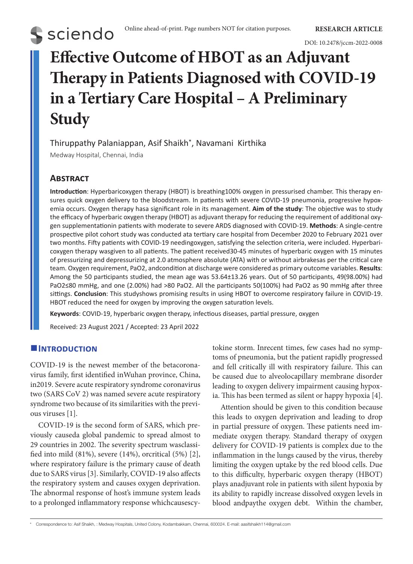

# **Effective Outcome of HBOT as an Adjuvant Therapy in Patients Diagnosed with COVID-19 in a Tertiary Care Hospital – A Preliminary Study**

Thiruppathy Palaniappan, Asif Shaikh\*, Navamani Kirthika

Medway Hospital, Chennai, India

# **Abstract**

**S** sciendo

**Introduction**: Hyperbaricoxygen therapy (HBOT) is breathing100% oxygen in pressurised chamber. This therapy ensures quick oxygen delivery to the bloodstream. In patients with severe COVID-19 pneumonia, progressive hypoxemia occurs. Oxygen therapy hasa significant role in its management. **Aim of the study**: The objective was to study the efficacy of hyperbaric oxygen therapy (HBOT) as adjuvant therapy for reducing the requirement of additional oxygen supplementationin patients with moderate to severe ARDS diagnosed with COVID-19. **Methods**: A single-centre prospective pilot cohort study was conducted ata tertiary care hospital from December 2020 to February 2021 over two months. Fifty patients with COVID-19 needingoxygen, satisfying the selection criteria, were included. Hyperbaricoxygen therapy wasgiven to all patients. The patient received30-45 minutes of hyperbaric oxygen with 15 minutes of pressurizing and depressurizing at 2.0 atmosphere absolute (ATA) with or without airbrakesas per the critical care team. Oxygen requirement, PaO2, andcondition at discharge were considered as primary outcome variables. **Results**: Among the 50 participants studied, the mean age was 53.64±13.26 years. Out of 50 participants, 49(98.00%) had PaO2≤80 mmHg, and one (2.00%) had >80 PaO2. All the participants 50(100%) had PaO2 as 90 mmHg after three sittings. **Conclusion**: This studyshows promising results in using HBOT to overcome respiratory failure in COVID-19. HBOT reduced the need for oxygen by improving the oxygen saturation levels.

**Keywords**: COVID-19, hyperbaric oxygen therapy, infectious diseases, partial pressure, oxygen

Received: 23 August 2021 / Accepted: 23 April 2022

# **Introduction**

COVID-19 is the newest member of the betacoronavirus family, first identified inWuhan province, China, in2019. Severe acute respiratory syndrome coronavirus two (SARS CoV 2) was named severe acute respiratory syndrome two because of its similarities with the previous viruses [1].

COVID-19 is the second form of SARS, which previously causeda global pandemic to spread almost to 29 countries in 2002. The severity spectrum wasclassified into mild (81%), severe (14%), orcritical (5%) [2], where respiratory failure is the primary cause of death due to SARS virus [3]. Similarly, COVID-19 also affects the respiratory system and causes oxygen deprivation. The abnormal response of host's immune system leads to a prolonged inflammatory response whichcausescytokine storm. Inrecent times, few cases had no symptoms of pneumonia, but the patient rapidly progressed and fell critically ill with respiratory failure. This can be caused due to alveolocapillary membrane disorder leading to oxygen delivery impairment causing hypoxia. This has been termed as silent or happy hypoxia [4].

Attention should be given to this condition because this leads to oxygen deprivation and leading to drop in partial pressure of oxygen. These patients need immediate oxygen therapy. Standard therapy of oxygen delivery for COVID-19 patients is complex due to the inflammation in the lungs caused by the virus, thereby limiting the oxygen uptake by the red blood cells. Due to this difficulty, hyperbaric oxygen therapy (HBOT) plays anadjuvant role in patients with silent hypoxia by its ability to rapidly increase dissolved oxygen levels in blood andpaythe oxygen debt. Within the chamber,

\* Correspondence to: Asif Shaikh, : Medway Hospitals, United Colony, Kodambakkam, Chennai, 600024. E-mail: aasifshaikh114@gmail.com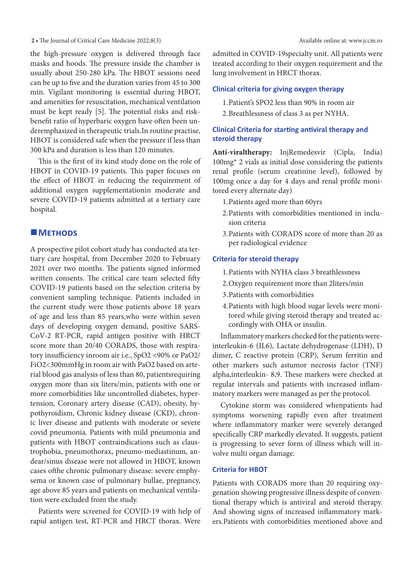**2 •** The Journal of Critical Care Medicine 2022;8(3) Available online at: www.jccm.ro

the high-pressure oxygen is delivered through face masks and hoods. The pressure inside the chamber is usually about 250-280 kPa. The HBOT sessions need can be up to five and the duration varies from 45 to 300 min. Vigilant monitoring is essential during HBOT, and amenities for resuscitation, mechanical ventilation must be kept ready [5]. The potential risks and riskbenefit ratio of hyperbaric oxygen have often been underemphasized in therapeutic trials.In routine practise, HBOT is considered safe when the pressure if less than 300 kPa and duration is less than 120 minutes.

This is the first of its kind study done on the role of HBOT in COVID-19 patients. This paper focuses on the effect of HBOT in reducing the requirement of additional oxygen supplementationin moderate and severe COVID-19 patients admitted at a tertiary care hospital.

## **METHODS**

A prospective pilot cohort study has conducted ata tertiary care hospital, from December 2020 to February 2021 over two months. The patients signed informed written consents. The critical care team selected fifty COVID-19 patients based on the selection criteria by convenient sampling technique. Patients included in the current study were those patients above 18 years of age and less than 85 years,who were within seven days of developing oxygen demand, positive SARS-CoV-2 RT-PCR, rapid antigen positive with HRCT score more than 20/40 CORADS, those with respiratory insufficiency inroom air i.e., SpO2 <90% or PaO2/ FiO2<300mmHg in room air with PaO2 based on arterial blood gas analysis of less than 80, patientsrequiring oxygen more than six liters/min, patients with one or more comorbidities like uncontrolled diabetes, hypertension, Coronary artery disease (CAD), obesity, hypothyroidism, Chronic kidney disease (CKD), chronic liver disease and patients with moderate or severe covid pneumonia. Patients with mild pneumonia and patients with HBOT contraindications such as claustrophobia, pneumothorax, pneumo-mediastinum, andear/sinus disease were not allowed in HBOT, known cases ofthe chronic pulmonary disease: severe emphysema or known case of pulmonary bullae, pregnancy, age above 85 years and patients on mechanical ventilation were excluded from the study.

Patients were screened for COVID-19 with help of rapid antigen test, RT-PCR and HRCT thorax. Were

admitted in COVID-19specialty unit. All patients were treated according to their oxygen requirement and the lung involvement in HRCT thorax.

#### **Clinical criteria for giving oxygen therapy**

- 1.Patient's SPO2 less than 90% in room air
- 2.Breathlessness of class 3 as per NYHA.

### **Clinical Criteria for starting antiviral therapy and steroid therapy**

**Anti-viraltherapy:** InjRemedesvir (Cipla, India) 100mg\* 2 vials as initial dose considering the patients renal profile (serum creatinine level), followed by 100mg once a day for 4 days and renal profile monitored every alternate day)

- 1.Patients aged more than 60yrs
- 2.Patients with comorbidities mentioned in inclusion criteria
- 3.Patients with CORADS score of more than 20 as per radiological evidence

#### **Criteria for steroid therapy**

- 1.Patients with NYHA class 3 breathlessness
- 2.Oxygen requirement more than 2liters/min
- 3.Patients with comorbidities
- 4.Patients with high blood sugar levels were monitored while giving steroid therapy and treated accordingly with OHA or insulin.

Inflammatory markers checked for the patients wereinterleukin-6 (IL6), Lactate dehydrogenase (LDH), D dimer, C reactive protein (CRP), Serum ferritin and other markers such astumor necrosis factor (TNF) alpha,interleukin- 8,9. These markers were checked at regular intervals and patients with increased inflammatory markers were managed as per the protocol.

Cytokine storm was considered whenpatients had symptoms worsening rapidly even after treatment where inflammatory marker were severely deranged specifically CRP markedly elevated. It suggests, patient is progressing to sever form of illness which will involve multi organ damage.

#### **Criteria for HBOT**

Patients with CORADS more than 20 requiring oxygenation showing progressive illness despite of conventional therapy which is antiviral and steroid therapy. And showing signs of increased inflammatory markers.Patients with comorbidities mentioned above and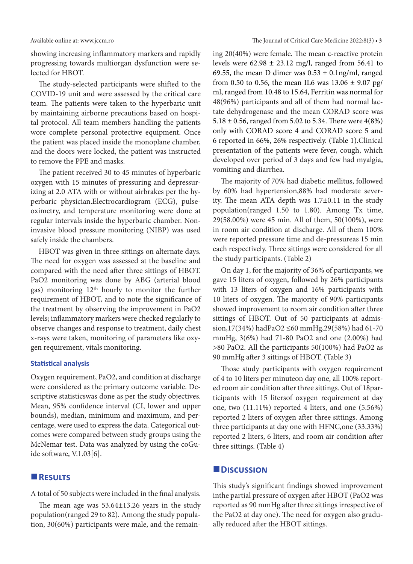showing increasing inflammatory markers and rapidly progressing towards multiorgan dysfunction were selected for HBOT.

The study-selected participants were shifted to the COVID-19 unit and were assessed by the critical care team. The patients were taken to the hyperbaric unit by maintaining airborne precautions based on hospital protocol. All team members handling the patients wore complete personal protective equipment. Once the patient was placed inside the monoplane chamber, and the doors were locked, the patient was instructed to remove the PPE and masks.

The patient received 30 to 45 minutes of hyperbaric oxygen with 15 minutes of pressuring and depressurizing at 2.0 ATA with or without airbrakes per the hyperbaric physician.Electrocardiogram (ECG), pulseoximetry, and temperature monitoring were done at regular intervals inside the hyperbaric chamber. Noninvasive blood pressure monitoring (NIBP) was used safely inside the chambers.

HBOT was given in three sittings on alternate days. The need for oxygen was assessed at the baseline and compared with the need after three sittings of HBOT. PaO2 monitoring was done by ABG (arterial blood gas) monitoring 12th hourly to monitor the further requirement of HBOT, and to note the significance of the treatment by observing the improvement in PaO2 levels; inflammatory markers were checked regularly to observe changes and response to treatment, daily chest x-rays were taken, monitoring of parameters like oxygen requirement, vitals monitoring.

#### **Statistical analysis**

Oxygen requirement, PaO2, and condition at discharge were considered as the primary outcome variable. Descriptive statisticswas done as per the study objectives. Mean, 95% confidence interval (CI, lower and upper bounds), median, minimum and maximum, and percentage, were used to express the data. Categorical outcomes were compared between study groups using the McNemar test. Data was analyzed by using the coGuide software, V.1.03[6].

### **Results**

A total of 50 subjects were included in the final analysis.

The mean age was 53.64±13.26 years in the study population(ranged 29 to 82). Among the study population, 30(60%) participants were male, and the remaining 20(40%) were female. The mean c-reactive protein levels were  $62.98 \pm 23.12$  mg/l, ranged from 56.41 to 69.55, the mean D dimer was  $0.53 \pm 0.1$ ng/ml, ranged from 0.50 to 0.56, the mean IL6 was  $13.06 \pm 9.07$  pg/ ml, ranged from 10.48 to 15.64, Ferritin was normal for 48(96%) participants and all of them had normal lactate dehydrogenase and the mean CORAD score was 5.18  $\pm$  0.56, ranged from 5.02 to 5.34. There were 4(8%) only with CORAD score 4 and CORAD score 5 and 6 reported in 66%, 26% respectively. (Table 1).Clinical presentation of the patients were fever, cough, which developed over period of 3 days and few had myalgia, vomiting and diarrhea.

The majority of 70% had diabetic mellitus, followed by 60% had hypertension,88% had moderate severity. The mean ATA depth was 1.7±0.11 in the study population(ranged 1.50 to 1.80). Among Tx time, 29(58.00%) were 45 min. All of them, 50(100%), were in room air condition at discharge. All of them 100% were reported pressure time and de-pressureas 15 min each respectively. Three sittings were considered for all the study participants. (Table 2)

On day 1, for the majority of 36% of participants, we gave 15 liters of oxygen, followed by 26% participants with 13 liters of oxygen and 16% participants with 10 liters of oxygen. The majority of 90% participants showed improvement to room air condition after three sittings of HBOT. Out of 50 participants at admission,17(34%) hadPaO2 ≤60 mmHg,29(58%) had 61-70 mmHg, 3(6%) had 71-80 PaO2 and one (2.00%) had >80 PaO2. All the participants 50(100%) had PaO2 as 90 mmHg after 3 sittings of HBOT. (Table 3)

Those study participants with oxygen requirement of 4 to 10 liters per minuteon day one, all 100% reported room air condition after three sittings. Out of 18participants with 15 litersof oxygen requirement at day one, two (11.11%) reported 4 liters, and one (5.56%) reported 2 liters of oxygen after three sittings. Among three participants at day one with HFNC,one (33.33%) reported 2 liters, 6 liters, and room air condition after three sittings. (Table 4)

#### **Discussion**

This study's significant findings showed improvement inthe partial pressure of oxygen after HBOT (PaO2 was reported as 90 mmHg after three sittings irrespective of the PaO2 at day one). The need for oxygen also gradually reduced after the HBOT sittings.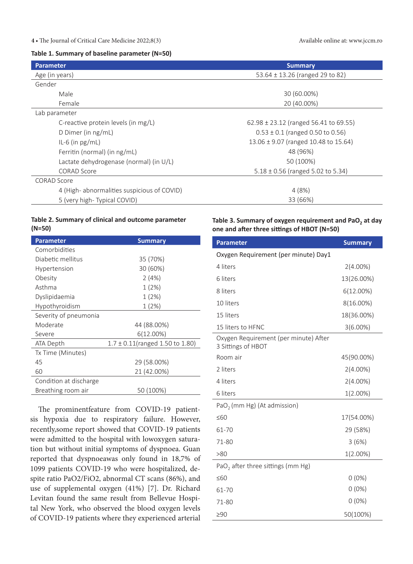#### **4 •** The Journal of Critical Care Medicine 2022;8(3) Available online at: www.jccm.ro

#### **Table 1. Summary of baseline parameter (N=50)**

| Parameter                                   | <b>Summary</b>                            |  |  |
|---------------------------------------------|-------------------------------------------|--|--|
| Age (in years)                              | 53.64 $\pm$ 13.26 (ranged 29 to 82)       |  |  |
| Gender                                      |                                           |  |  |
| Male                                        | 30 (60.00%)                               |  |  |
| Female                                      | 20 (40.00%)                               |  |  |
| Lab parameter                               |                                           |  |  |
| C-reactive protein levels (in mg/L)         | $62.98 \pm 23.12$ (ranged 56.41 to 69.55) |  |  |
| D Dimer (in ng/mL)                          | $0.53 \pm 0.1$ (ranged 0.50 to 0.56)      |  |  |
| IL-6 (in $pg/mL$ )                          | 13.06 ± 9.07 (ranged 10.48 to 15.64)      |  |  |
| Ferritin (normal) (in ng/mL)                | 48 (96%)                                  |  |  |
| Lactate dehydrogenase (normal) (in U/L)     | 50 (100%)                                 |  |  |
| <b>CORAD Score</b>                          | $5.18 \pm 0.56$ (ranged 5.02 to 5.34)     |  |  |
| CORAD Score                                 |                                           |  |  |
| 4 (High- abnormalities suspicious of COVID) | 4(8%)                                     |  |  |
| 5 (very high-Typical COVID)                 | 33 (66%)                                  |  |  |

#### **Table 2. Summary of clinical and outcome parameter (N=50)**

| Parameter              | <b>Summary</b>                       |  |  |  |
|------------------------|--------------------------------------|--|--|--|
| Comorbidities          |                                      |  |  |  |
| Diabetic mellitus      | 35 (70%)                             |  |  |  |
| Hypertension           | 30 (60%)                             |  |  |  |
| Obesity                | 2(4%)                                |  |  |  |
| Asthma                 | 1(2%)                                |  |  |  |
| Dyslipidaemia          | 1(2%)                                |  |  |  |
| Hypothyroidism         | 1(2%)                                |  |  |  |
| Severity of pneumonia  |                                      |  |  |  |
| Moderate               | 44 (88.00%)                          |  |  |  |
| Severe                 | $6(12.00\%)$                         |  |  |  |
| ATA Depth              | $1.7 \pm 0.11$ (ranged 1.50 to 1.80) |  |  |  |
| Tx Time (Minutes)      |                                      |  |  |  |
| 45                     | 29 (58.00%)                          |  |  |  |
| 60                     | 21 (42.00%)                          |  |  |  |
| Condition at discharge |                                      |  |  |  |
| Breathing room air     | 50 (100%)                            |  |  |  |

The prominentfeature from COVID-19 patientsis hypoxia due to respiratory failure. However, recently,some report showed that COVID-19 patients were admitted to the hospital with lowoxygen saturation but without initial symptoms of dyspnoea. Guan reported that dyspnoeawas only found in 18,7% of 1099 patients COVID-19 who were hospitalized, despite ratio PaO2/FiO2, abnormal CT scans (86%), and use of supplemental oxygen (41%) [7]. Dr. Richard Levitan found the same result from Bellevue Hospital New York, who observed the blood oxygen levels of COVID-19 patients where they experienced arterial

#### Table 3. Summary of oxygen requirement and PaO<sub>2</sub> at day **one and after three sittings of HBOT (N=50)**

| <b>Parameter</b>                                            | <b>Summary</b> |  |  |  |
|-------------------------------------------------------------|----------------|--|--|--|
| Oxygen Requirement (per minute) Day1                        |                |  |  |  |
| 4 liters                                                    | $2(4.00\%)$    |  |  |  |
| 6 liters                                                    | 13(26.00%)     |  |  |  |
| 8 liters                                                    | $6(12.00\%)$   |  |  |  |
| 10 liters                                                   | 8(16.00%)      |  |  |  |
| 15 liters                                                   | 18(36.00%)     |  |  |  |
| 15 liters to HFNC                                           | $3(6.00\%)$    |  |  |  |
| Oxygen Requirement (per minute) After<br>3 Sittings of HBOT |                |  |  |  |
| Room air                                                    | 45(90.00%)     |  |  |  |
| 2 liters                                                    | $2(4.00\%)$    |  |  |  |
| 4 liters                                                    | $2(4.00\%)$    |  |  |  |
| 6 liters                                                    | $1(2.00\%)$    |  |  |  |
| PaO <sub>2</sub> (mm Hg) (At admission)                     |                |  |  |  |
| $\leq 60$                                                   | 17(54.00%)     |  |  |  |
| 61-70                                                       | 29 (58%)       |  |  |  |
| 71-80                                                       | 3(6%)          |  |  |  |
| >80                                                         | $1(2.00\%)$    |  |  |  |
| PaO <sub>2</sub> after three sittings (mm Hg)               |                |  |  |  |
| $\leq 60$                                                   | $0(0\%)$       |  |  |  |
| 61-70                                                       | $0(0\%)$       |  |  |  |
| 71-80                                                       | $0(0\%)$       |  |  |  |
| $\geq 90$                                                   | 50(100%)       |  |  |  |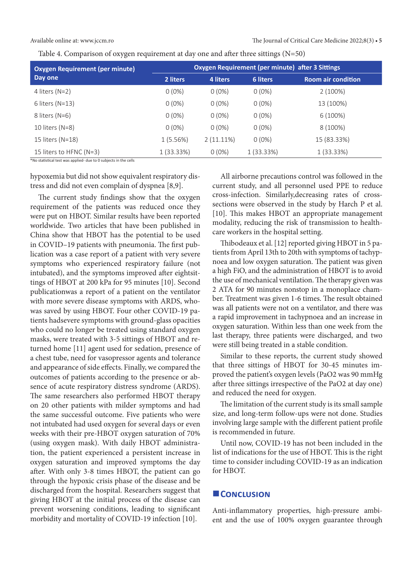Available online at: www.jccm.ro The Journal of Critical Care Medicine 2022;8(3) **• 5**

Table 4. Comparison of oxygen requirement at day one and after three sittings (N=50)

| <b>Oxygen Requirement (per minute)</b><br>Day one | Oxygen Requirement (per minute) after 3 Sittings |              |              |                           |
|---------------------------------------------------|--------------------------------------------------|--------------|--------------|---------------------------|
|                                                   | 2 liters                                         | 4 liters     | 6 liters     | <b>Room air condition</b> |
| 4 liters $(N=2)$                                  | $0(0\%)$                                         | $0(0\%)$     | $0(0\%)$     | $2(100\%)$                |
| 6 liters $(N=13)$                                 | $0(0\%)$                                         | $0(0\%)$     | $0(0\%)$     | 13 (100%)                 |
| 8 liters (N=6)                                    | $0(0\%)$                                         | $0(0\%)$     | $0(0\%)$     | $6(100\%)$                |
| 10 liters $(N=8)$                                 | $0(0\%)$                                         | $0(0\%)$     | $0(0\%)$     | 8 (100%)                  |
| 15 liters (N=18)                                  | 1(5.56%)                                         | $2(11.11\%)$ | $0(0\%)$     | 15 (83.33%)               |
| 15 liters to HFNC (N=3)                           | 1(33.33%)                                        | $0(0\%)$     | $1(33.33\%)$ | $1(33.33\%)$              |

\*No statistical test was applied- due to 0 subjects in the cells

hypoxemia but did not show equivalent respiratory distress and did not even complain of dyspnea [8,9].

The current study findings show that the oxygen requirement of the patients was reduced once they were put on HBOT. Similar results have been reported worldwide. Two articles that have been published in China show that HBOT has the potential to be used in COVID–19 patients with pneumonia. The first publication was a case report of a patient with very severe symptoms who experienced respiratory failure (not intubated), and the symptoms improved after eightsittings of HBOT at 200 kPa for 95 minutes [10]. Second publicationwas a report of a patient on the ventilator with more severe disease symptoms with ARDS, whowas saved by using HBOT. Four other COVID-19 patients hadsevere symptoms with ground-glass opacities who could no longer be treated using standard oxygen masks, were treated with 3-5 sittings of HBOT and returned home [11] agent used for sedation, presence of a chest tube, need for vasopressor agents and tolerance and appearance of side effects. Finally, we compared the outcomes of patients according to the presence or absence of acute respiratory distress syndrome (ARDS). The same researchers also performed HBOT therapy on 20 other patients with milder symptoms and had the same successful outcome. Five patients who were not intubated had used oxygen for several days or even weeks with their pre-HBOT oxygen saturation of 70% (using oxygen mask). With daily HBOT administration, the patient experienced a persistent increase in oxygen saturation and improved symptoms the day after. With only 3-8 times HBOT, the patient can go through the hypoxic crisis phase of the disease and be discharged from the hospital. Researchers suggest that giving HBOT at the initial process of the disease can prevent worsening conditions, leading to significant morbidity and mortality of COVID-19 infection [10].

All airborne precautions control was followed in the current study, and all personnel used PPE to reduce cross-infection. Similarly,decreasing rates of crosssections were observed in the study by Harch P et al. [10]. This makes HBOT an appropriate management modality, reducing the risk of transmission to healthcare workers in the hospital setting.

Thibodeaux et al. [12] reported giving HBOT in 5 patients from April 13th to 20th with symptoms of tachypnoea and low oxygen saturation. The patient was given a high FiO, and the administration of HBOT is to avoid the use of mechanical ventilation. The therapy given was 2 ATA for 90 minutes nonstop in a monoplace chamber. Treatment was given 1-6 times. The result obtained was all patients were not on a ventilator, and there was a rapid improvement in tachypnoea and an increase in oxygen saturation. Within less than one week from the last therapy, three patients were discharged, and two were still being treated in a stable condition.

Similar to these reports, the current study showed that three sittings of HBOT for 30-45 minutes improved the patient's oxygen levels (PaO2 was 90 mmHg after three sittings irrespective of the PaO2 at day one) and reduced the need for oxygen.

The limitation of the current study is its small sample size, and long-term follow-ups were not done. Studies involving large sample with the different patient profile is recommended in future.

Until now, COVID-19 has not been included in the list of indications for the use of HBOT. This is the right time to consider including COVID-19 as an indication for HBOT.

#### **CONCLUSION**

Anti-inflammatory properties, high-pressure ambient and the use of 100% oxygen guarantee through